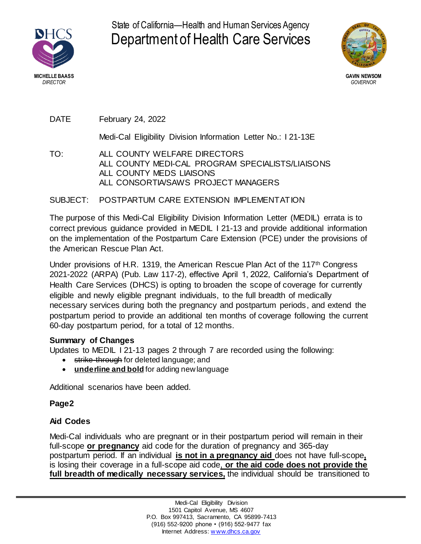

State of California—Health and Human Services Agency Department of Health Care Services



DATE February 24, 2022

Medi-Cal Eligibility Division Information Letter No.: I 21-13E

TO: ALL COUNTY WELFARE DIRECTORS ALL COUNTY MEDI-CAL PROGRAM SPECIALISTS/LIAISONS ALL COUNTY MEDS LIAISONS ALL CONSORTIA/SAWS PROJECT MANAGERS

# SUBJECT: POSTPARTUM CARE EXTENSION IMPLEMENTATION

The purpose of this Medi-Cal Eligibility Division Information Letter (MEDIL) errata is to correct previous guidance provided in MEDIL I 21-13 and provide additional information on the implementation of the Postpartum Care Extension (PCE) under the provisions of the American Rescue Plan Act.

Under provisions of H.R. 1319, the American Rescue Plan Act of the 117<sup>th</sup> Congress 2021-2022 (ARPA) (Pub. Law 117-2), effective April 1, 2022, California's Department of Health Care Services (DHCS) is opting to broaden the scope of coverage for currently eligible and newly eligible pregnant individuals, to the full breadth of medically necessary services during both the pregnancy and postpartum periods, and extend the postpartum period to provide an additional ten months of coverage following the current 60-day postpartum period, for a total of 12 months.

## **Summary of Changes**

Updates to MEDIL I 21-13 pages 2 through 7 are recorded using the following:

- **strike-through for deleted language; and**
- **underline and bold** for adding newlanguage

Additional scenarios have been added.

## **Page2**

## **Aid Codes**

Medi-Cal individuals who are pregnant or in their postpartum period will remain in their full-scope **or pregnancy** aid code for the duration of pregnancy and 365-day postpartum period. If an individual is not in a pregnancy aid does not have full-scope, is losing their coverage in a full-scope aid code, or the aid code does not provide the full breadth of medically necessary services, the individual should be transitioned to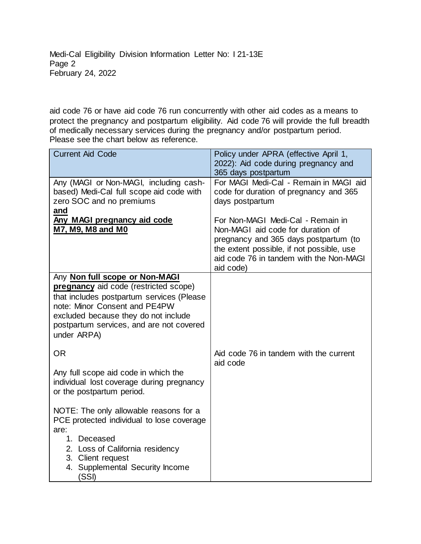Medi-Cal Eligibility Division Information Letter No: I 21-13E Page 2 February 24, 2022

aid code 76 or have aid code 76 run concurrently with other aid codes as a means to protect the pregnancy and postpartum eligibility. Aid code 76 will provide the full breadth of medically necessary services during the pregnancy and/or postpartum period. Please see the chart below as reference.

| <b>Current Aid Code</b>                                                                                                                                                                                                                                  | Policy under APRA (effective April 1,<br>2022): Aid code during pregnancy and<br>365 days postpartum                                                                                                                 |
|----------------------------------------------------------------------------------------------------------------------------------------------------------------------------------------------------------------------------------------------------------|----------------------------------------------------------------------------------------------------------------------------------------------------------------------------------------------------------------------|
| Any (MAGI or Non-MAGI, including cash-<br>based) Medi-Cal full scope aid code with<br>zero SOC and no premiums                                                                                                                                           | For MAGI Medi-Cal - Remain in MAGI aid<br>code for duration of pregnancy and 365<br>days postpartum                                                                                                                  |
| and<br>Any MAGI pregnancy aid code<br>M7, M9, M8 and M0                                                                                                                                                                                                  | For Non-MAGI Medi-Cal - Remain in<br>Non-MAGI aid code for duration of<br>pregnancy and 365 days postpartum (to<br>the extent possible, if not possible, use<br>aid code 76 in tandem with the Non-MAGI<br>aid code) |
| Any Non full scope or Non-MAGI<br>pregnancy aid code (restricted scope)<br>that includes postpartum services (Please<br>note: Minor Consent and PE4PW<br>excluded because they do not include<br>postpartum services, and are not covered<br>under ARPA) |                                                                                                                                                                                                                      |
| <b>OR</b>                                                                                                                                                                                                                                                | Aid code 76 in tandem with the current<br>aid code                                                                                                                                                                   |
| Any full scope aid code in which the<br>individual lost coverage during pregnancy<br>or the postpartum period.                                                                                                                                           |                                                                                                                                                                                                                      |
| NOTE: The only allowable reasons for a<br>PCE protected individual to lose coverage<br>are:<br>1. Deceased<br>2. Loss of California residency<br>3. Client request<br><b>Supplemental Security Income</b><br>4.                                          |                                                                                                                                                                                                                      |
| (SSI)                                                                                                                                                                                                                                                    |                                                                                                                                                                                                                      |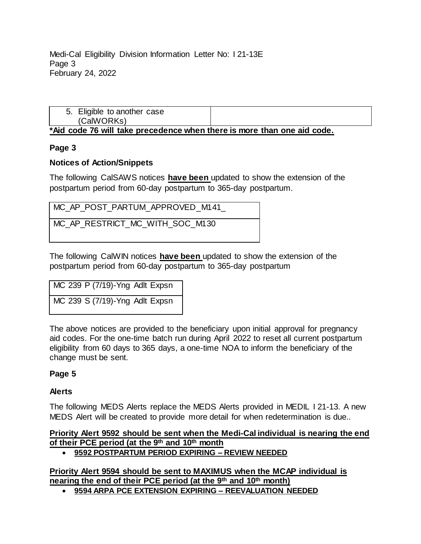Medi-Cal Eligibility Division Information Letter No: I 21-13E Page 3 February 24, 2022

| 5. Eligible to another case<br>(CalWORKs)                               |  |
|-------------------------------------------------------------------------|--|
| *Aid code 76 will take precedence when there is more than one aid code. |  |

## **Page 3**

## **Notices of Action/Snippets**

The following CalSAWS notices **have been** updated to show the extension of the postpartum period from 60-day postpartum to 365-day postpartum.

| MC AP POST PARTUM APPROVED M141 |
|---------------------------------|
|---------------------------------|

MC\_AP\_RESTRICT\_MC\_WITH\_SOC\_M130

The following CalWIN notices **have been** updated to show the extension of the postpartum period from 60-day postpartum to 365-day postpartum

| MC 239 P (7/19)-Yng Adlt Expsn |  |
|--------------------------------|--|
| MC 239 S (7/19)-Yng Adlt Expsn |  |

The above notices are provided to the beneficiary upon initial approval for pregnancy aid codes. For the one-time batch run during April 2022 to reset all current postpartum eligibility from 60 days to 365 days, a one-time NOA to inform the beneficiary of the change must be sent.

## **Page 5**

### **Alerts**

The following MEDS Alerts replace the MEDS Alerts provided in MEDIL I 21-13. A new MEDS Alert will be created to provide more detail for when redetermination is due..

## Priority Alert 9592 should be sent when the Medi-Cal individual is nearing the end **of their PCE period (at the 9<sup>th</sup> and 10<sup>th</sup> month**

**9592 POSTPARTUM PERIOD EXPIRING – REVIEW NEEDED** ᄋ 9592 POSTPARTUM PERIOD EXPIRING REVIEW NEEDED

**Priority Alert 9594 should be sent to MAXIMUS when the MCAP individual is nearing** the end of their PCE period (at the 9<sup>th</sup> and 10<sup>th</sup> month)

**9594 ARPA PCE EXTENSION EXPIRING – REEVALUATION NEEDED**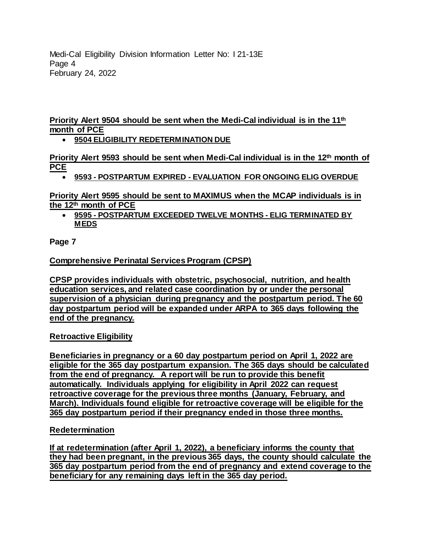Medi-Cal Eligibility Division Information Letter No: I 21-13E Page 4 February 24, 2022

**Priority Alert 9504 should be sent when the Medi-Cal individual is in the 11th** month of PCE

**9504 ELIGIBILITY REDETERMINATION DUE**

Priority Alert 9593 should be sent when Medi-Cal individual is in the 12<sup>th</sup> month of **PCE**

**9593 - POSTPARTUM EXPIRED - EVALUATION FOR ONGOING ELIG OVERDUE**

Priority Alert 9595 should be sent to MAXIMUS when the MCAP individuals is in **the 12<sup>th</sup> month of PCE** 

 **9595 - POSTPARTUM EXCEEDED TWELVE MONTHS - ELIG TERMINATED BY MEDS**

**Page 7**

**Comprehensive Perinatal Services Program (CPSP)** 

CPSP provides individuals with obstetric, psychosocial, nutrition, and health education services, and related case coordination by or under the personal supervision of a physician during pregnancy and the postpartum period. The 60 day postpartum period will be expanded under ARPA to 365 days following the **end of the pregnancy.**

## **Retroactive Eligibility**

Beneficiaries in pregnancy or a 60 day postpartum period on April 1, 2022 are eligible for the 365 day postpartum expansion. The 365 days should be calculated from the end of pregnancy. A report will be run to provide this benefit automatically. Individuals applying for eligibility in April 2022 can request <u>retroactive coverage for the previous three months (January, February, and January, and January and January and January and January and January and January and January and January and January and January and January and J</u> **March). Individuals found eligible for retroactive coverage will be eligible for the 1665 day** postpartum period if their pregnancy ended in those three months.

#### **Redetermination** content)

If at redetermination (after April 1, 2022), a beneficiary informs the county that they had been pregnant, in the previous 365 days, the county should calculate the 365 day postpartum period from the end of pregnancy and extend coverage to the **beneficiary for any remaining days left in the 365 day period.**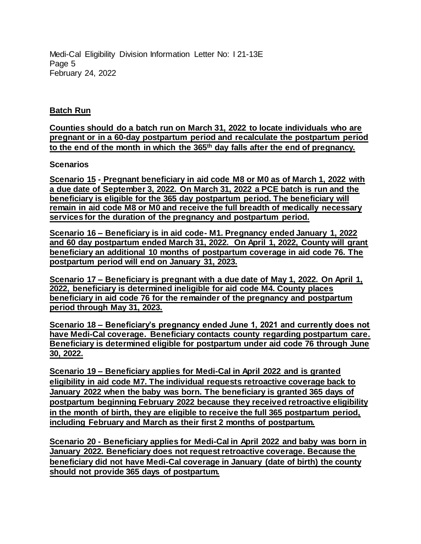Medi-Cal Eligibility Division Information Letter No: I 21-13E Page 5 February 24, 2022

#### **Batch Run** (added content)

Counties should do a batch run on March 31, 2022 to locate individuals who are pregnant or in a 60-day postpartum period and recalculate the postpartum period to the end of the month in which the 365<sup>th</sup> day falls after the end of pregnancy.

#### Scenarios (added content)

Scenario 15 - Pregnant beneficiary in aid code M8 or M0 as of March 1, 2022 with a due date of September 3, 2022. On March 31, 2022 a PCE batch is run and the <u>beneficiary is eligible for the 365 day postpartum period. The beneficiary will</u> remain in aid code M8 or M0 and receive the full breadth of medically necessary **services for the duration of the pregnancy and postpartum period.**

Scenario 16 – Beneficiary is in aid code- M1. Pregnancy ended January 1, 2022 and 60 day postpartum ended March 31, 2022. On April 1, 2022, County will grant beneficiary an additional 10 months of postpartum coverage in aid code 76. The **postpartum period will end on January 31, 2023.**

Scenario 17 – Beneficiary is pregnant with a due date of May 1, 2022. On April 1, 2022, beneficiary is determined ineligible for aid code M4. County places beneficiary in aid code 76 for the remainder of the pregnancy and postpartum **period through May 31, 2023.**

Scenario 18 – Beneficiary's pregnancy ended June 1, 2021 and currently does not have Medi-Cal coverage. Beneficiary contacts county regarding postpartum care. **Beneficiary is determined eligible for postpartum under aid code 76 through June 30, 2022.**

Scenario 19 – Beneficiary applies for Medi-Cal in April 2022 and is granted eligibility in aid code M7. The individual requests retroactive coverage back to January 2022 when the baby was born. The beneficiary is granted 365 days of postpartum beginning February 2022 because they received retroactive eligibility in the month of birth, they are eligible to receive the full 365 postpartum period, **including February and March as their first 2 months of postpartum.**

Scenario 20 - Beneficiary applies for Medi-Cal in April 2022 and baby was born in January 2022. Beneficiary does not request retroactive coverage. Because the beneficiary did not have Medi-Cal coverage in January (date of birth) the county **should not provide 365 days of postpartum.**